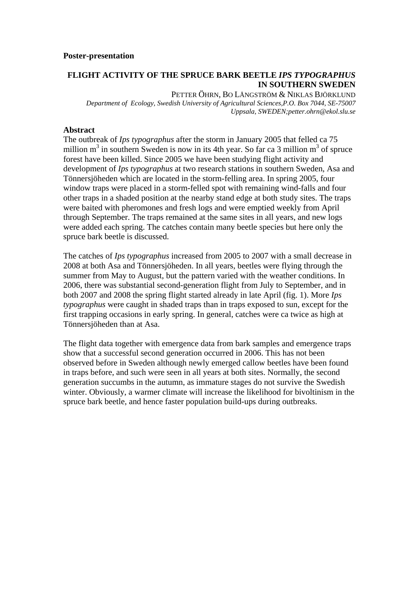## **FLIGHT ACTIVITY OF THE SPRUCE BARK BEETLE** *IPS TYPOGRAPHUS* **IN SOUTHERN SWEDEN**

PETTER ÖHRN, BO LÅNGSTRÖM & NIKLAS BJÖRKLUND *Department of Ecology, Swedish University of Agricultural Sciences,P.O. Box 7044, SE-75007 Uppsala, SWEDEN;petter.ohrn@ekol.slu.se* 

## **Abstract**

The outbreak of *Ips typographus* after the storm in January 2005 that felled ca 75 million  $m^3$  in southern Sweden is now in its 4th year. So far ca 3 million  $m^3$  of spruce forest have been killed. Since 2005 we have been studying flight activity and development of *Ips typographus* at two research stations in southern Sweden, Asa and Tönnersjöheden which are located in the storm-felling area. In spring 2005, four window traps were placed in a storm-felled spot with remaining wind-falls and four other traps in a shaded position at the nearby stand edge at both study sites. The traps were baited with pheromones and fresh logs and were emptied weekly from April through September. The traps remained at the same sites in all years, and new logs were added each spring. The catches contain many beetle species but here only the spruce bark beetle is discussed.

The catches of *Ips typographus* increased from 2005 to 2007 with a small decrease in 2008 at both Asa and Tönnersjöheden. In all years, beetles were flying through the summer from May to August, but the pattern varied with the weather conditions. In 2006, there was substantial second-generation flight from July to September, and in both 2007 and 2008 the spring flight started already in late April (fig. 1). More *Ips typographus* were caught in shaded traps than in traps exposed to sun, except for the first trapping occasions in early spring. In general, catches were ca twice as high at Tönnersjöheden than at Asa.

The flight data together with emergence data from bark samples and emergence traps show that a successful second generation occurred in 2006. This has not been observed before in Sweden although newly emerged callow beetles have been found in traps before, and such were seen in all years at both sites. Normally, the second generation succumbs in the autumn, as immature stages do not survive the Swedish winter. Obviously, a warmer climate will increase the likelihood for bivoltinism in the spruce bark beetle, and hence faster population build-ups during outbreaks.